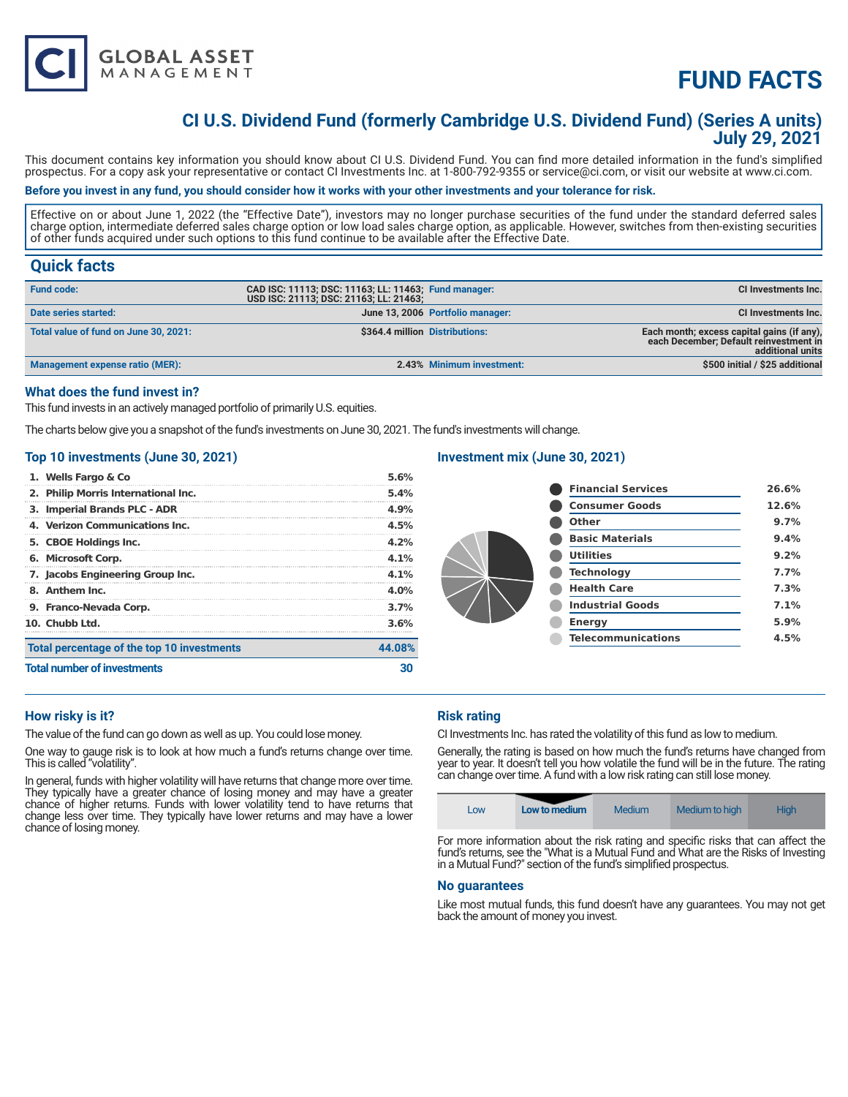

## **CI U.S. Dividend Fund (formerly Cambridge U.S. Dividend Fund) (Series A units) July 29, 2021**

This document contains key information you should know about CI U.S. Dividend Fund. You can find more detailed information in the fund's simplified prospectus. For a copy ask your representative or contact CI Investments Inc. at 1-800-792-9355 or service@ci.com, or visit our website at www.ci.com.

### **Before you invest in any fund, you should consider how it works with your other investments and your tolerance for risk.**

Effective on or about June 1, 2022 (the "Effective Date"), investors may no longer purchase securities of the fund under the standard deferred sales charge option, intermediate deferred sales charge option or low load sales charge option, as applicable. However, switches from then-existing securities of other funds acquired under such options to this fund continue to be available after the Effective Date.

## **Quick facts**

| <b>Fund code:</b>                     | CAD ISC: 11113; DSC: 11163; LL: 11463; Fund manager:<br>USD ISC: 21113; DSC: 21163; LL: 21463; |                                  | <b>CI Investments Inc.</b>                                                                               |
|---------------------------------------|------------------------------------------------------------------------------------------------|----------------------------------|----------------------------------------------------------------------------------------------------------|
| Date series started:                  |                                                                                                | June 13, 2006 Portfolio manager: | CI Investments Inc.                                                                                      |
| Total value of fund on June 30, 2021: | \$364.4 million Distributions:                                                                 |                                  | Each month; excess capital gains (if any),<br>each December: Default reinvestment in<br>additional units |
| Management expense ratio (MER):       |                                                                                                | 2.43% Minimum investment:        | \$500 initial / \$25 additional                                                                          |

### **What does the fund invest in?**

This fund invests in an actively managed portfolio of primarily U.S. equities.

**GLOBAL ASSET**<br>MANAGEMENT

The charts below give you a snapshot of the fund's investments on June 30, 2021. The fund's investments will change.

#### **Top 10 investments (June 30, 2021)**

| Total percentage of the top 10 investments<br><b>Total number of investments</b> |                                     |        |
|----------------------------------------------------------------------------------|-------------------------------------|--------|
|                                                                                  |                                     | 44.08% |
|                                                                                  | 10. Chubb Ltd.                      | 3.6%   |
|                                                                                  | 9. Franco-Nevada Corp.              | 3.7%   |
|                                                                                  | 8. Anthem Inc.                      | 4.0%   |
|                                                                                  | 7. Jacobs Engineering Group Inc.    | 4.1%   |
|                                                                                  | 6. Microsoft Corp.                  | 4.1%   |
|                                                                                  | 5. CBOE Holdings Inc.               | 4.2%   |
|                                                                                  | 4. Verizon Communications Inc.      | 4.5%   |
|                                                                                  | 3. Imperial Brands PLC - ADR        | 4.9%   |
|                                                                                  | 2. Philip Morris International Inc. | 5.4%   |
|                                                                                  | 1. Wells Fargo & Co                 | 5.6%   |

### **Investment mix (June 30, 2021)**

| <b>Financial Services</b> | 26.6% |
|---------------------------|-------|
| <b>Consumer Goods</b>     | 12.6% |
| Other                     | 9.7%  |
| <b>Basic Materials</b>    | 9.4%  |
| <b>Utilities</b>          | 9.2%  |
| <b>Technology</b>         | 7.7%  |
| <b>Health Care</b>        | 7.3%  |
| <b>Industrial Goods</b>   | 7.1%  |
| <b>Energy</b>             | 5.9%  |
| <b>Telecommunications</b> | 4.5%  |
|                           |       |

#### **How risky is it?**

The value of the fund can go down as well as up. You could lose money.

One way to gauge risk is to look at how much a fund's returns change over time. This is called "volatility".

In general, funds with higher volatility will have returns that change more over time. They typically have a greater chance of losing money and may have a greater chance of higher returns. Funds with lower volatility tend to have returns that change less over time. They typically have lower returns and may have a lower chance of losing money.

#### **Risk rating**

CI Investments Inc. has rated the volatility of this fund as low to medium.

Generally, the rating is based on how much the fund's returns have changed from year to year. It doesn't tell you how volatile the fund will be in the future. The rating can change over time. A fund with a low risk rating can still lose money.

| LOW | Low to medium | Medium | Medium to high | <b>High</b> |
|-----|---------------|--------|----------------|-------------|
|-----|---------------|--------|----------------|-------------|

For more information about the risk rating and specific risks that can affect the fund's returns, see the "What is a Mutual Fund and What are the Risks of Investing in a Mutual Fund?" section of the fund's simplified prospectus.

#### **No guarantees**

Like most mutual funds, this fund doesn't have any guarantees. You may not get back the amount of money you invest.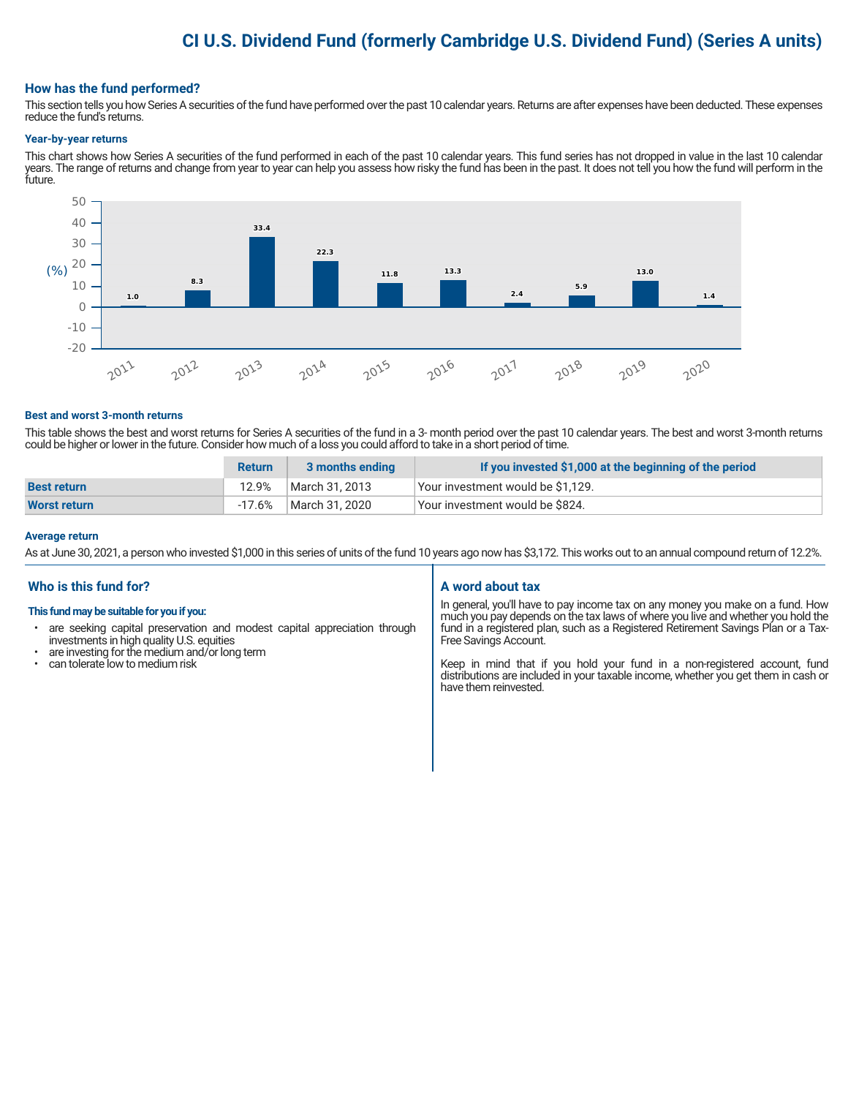## **CI U.S. Dividend Fund (formerly Cambridge U.S. Dividend Fund) (Series A units)**

#### **How has the fund performed?**

This section tells you how Series A securities of the fund have performed over the past 10 calendar years. Returns are after expenses have been deducted. These expenses reduce the fund's returns.

#### **Year-by-year returns**

This chart shows how Series A securities of the fund performed in each of the past 10 calendar years. This fund series has not dropped in value in the last 10 calendar years. The range of returns and change from year to year can help you assess how risky the fund has been in the past. It does not tell you how the fund will perform in the future.



#### **Best and worst 3-month returns**

This table shows the best and worst returns for Series A securities of the fund in a 3- month period over the past 10 calendar years. The best and worst 3-month returns could be higher or lower in the future. Consider how much of a loss you could afford to take in a short period of time.

|                     | <b>Return</b> | 3 months ending | If you invested \$1,000 at the beginning of the period |
|---------------------|---------------|-----------------|--------------------------------------------------------|
| <b>Best return</b>  | 12.9%         | March 31, 2013  | Your investment would be \$1,129.                      |
| <b>Worst return</b> | -17.6%        | March 31, 2020  | Vour investment would be \$824.                        |

#### **Average return**

As at June 30, 2021, a person who invested \$1,000 in this series of units of the fund 10 years ago now has \$3,172. This works out to an annual compound return of 12.2%.

## **Who is this fund for?**

#### **This fund may be suitable for you if you:**

- are seeking capital preservation and modest capital appreciation through investments in high quality U.S. equities
- are investing for the medium and/or long term
- can tolerate low to medium risk

### **A word about tax**

In general, you'll have to pay income tax on any money you make on a fund. How much you pay depends on the tax laws of where you live and whether you hold the fund in a registered plan, such as a Registered Retirement Savings Plan or a Tax-Free Savings Account.

Keep in mind that if you hold your fund in a non-registered account, fund distributions are included in your taxable income, whether you get them in cash or have them reinvested.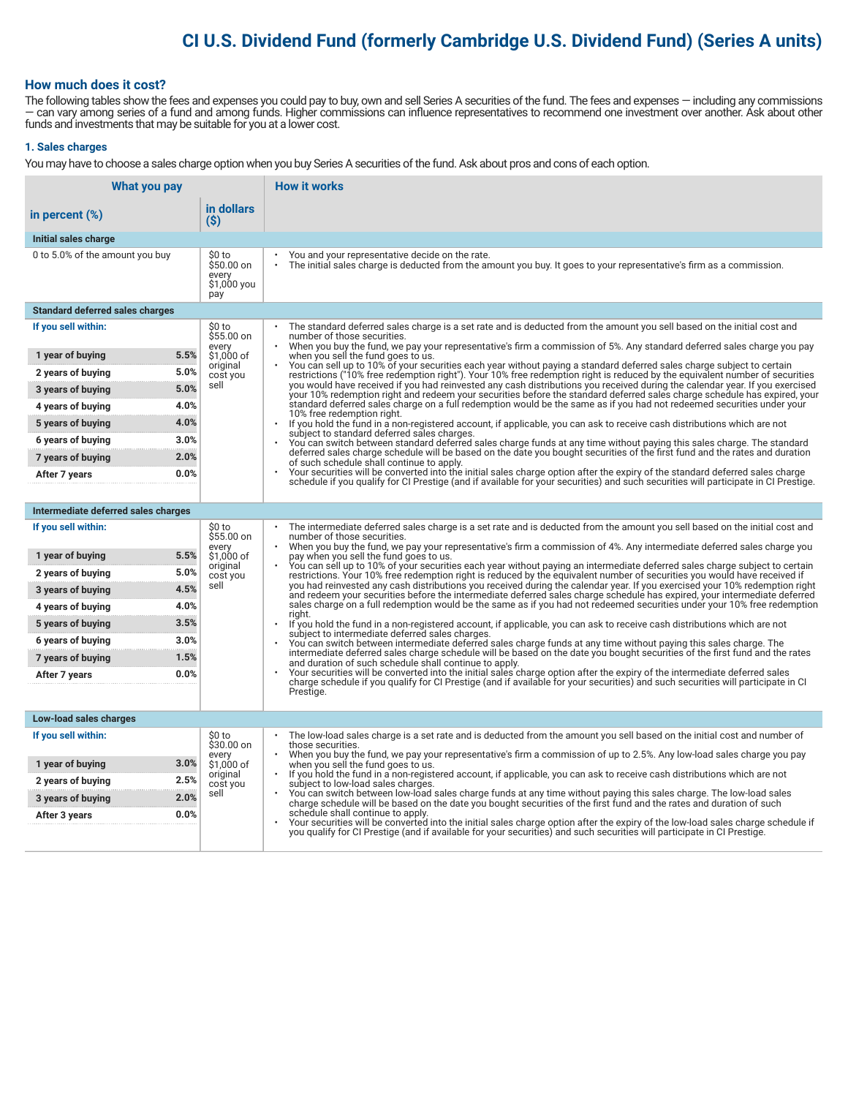## **CI U.S. Dividend Fund (formerly Cambridge U.S. Dividend Fund) (Series A units)**

#### **How much does it cost?**

The following tables show the fees and expenses you could pay to buy, own and sell Series A securities of the fund. The fees and expenses — including any commissions — can vary among series of a fund and among funds. Higher commissions can influence representatives to recommend one investment over another. Ask about other funds and investments that may be suitable for you at a lower cost.

#### **1. Sales charges**

You may have to choose a sales charge option when you buy Series A securities of the fund. Ask about pros and cons of each option.

| What you pay                           |                                                     | <b>How it works</b>                                                                                                                                                                                                                                                                     |
|----------------------------------------|-----------------------------------------------------|-----------------------------------------------------------------------------------------------------------------------------------------------------------------------------------------------------------------------------------------------------------------------------------------|
| in percent (%)                         | in dollars<br>(S)                                   |                                                                                                                                                                                                                                                                                         |
| Initial sales charge                   |                                                     |                                                                                                                                                                                                                                                                                         |
| 0 to 5.0% of the amount you buy        | \$0 to<br>\$50.00 on<br>every<br>\$1,000 you<br>pay | You and your representative decide on the rate.<br>The initial sales charge is deducted from the amount you buy. It goes to your representative's firm as a commission.                                                                                                                 |
| <b>Standard deferred sales charges</b> |                                                     |                                                                                                                                                                                                                                                                                         |
| If you sell within:                    | \$0 to<br>\$55.00 on                                | The standard deferred sales charge is a set rate and is deducted from the amount you sell based on the initial cost and<br>number of those securities.                                                                                                                                  |
| 1 year of buying                       | every<br>5.5%<br>\$1,000 of<br>original             | When you buy the fund, we pay your representative's firm a commission of 5%. Any standard deferred sales charge you pay<br>when you sell the fund goes to us.<br>You can sell up to 10% of your securities each year without paying a standard deferred sales charge subject to certain |
| 2 years of buying                      | 5.0%<br>cost you                                    | restrictions ("10% free redemption right"). Your 10% free redemption right is reduced by the equivalent number of securities                                                                                                                                                            |
| 3 years of buying                      | sell<br>5.0%                                        | you would have received if you had reinvested any cash distributions you received during the calendar year. If you exercised<br>your 10% redemption right and redeem your securities before the standard deferred sales charge schedule has expired, your                               |
| 4 years of buying                      | 4.0%                                                | standard deferred sales charge on a full redemption would be the same as if you had not redeemed securities under your<br>10% free redemption right.                                                                                                                                    |
| 5 years of buying                      | 4.0%                                                | If you hold the fund in a non-registered account, if applicable, you can ask to receive cash distributions which are not<br>$\bullet$<br>subject to standard deferred sales charges.                                                                                                    |
| 6 years of buying                      | 3.0%                                                | You can switch between standard deferred sales charge funds at any time without paying this sales charge. The standard<br>deferred sales charge schedule will be based on the date you bought securities of the first fund and the rates and duration                                   |
| 7 years of buying                      | 2.0%                                                | of such schedule shall continue to apply.                                                                                                                                                                                                                                               |
| After 7 years                          | 0.0%                                                | Your securities will be converted into the initial sales charge option after the expiry of the standard deferred sales charge<br>schedule if you qualify for CI Prestige (and if available for your securities) and such securities will participate in CI Prestige.                    |
|                                        |                                                     |                                                                                                                                                                                                                                                                                         |
| Intermediate deferred sales charges    |                                                     |                                                                                                                                                                                                                                                                                         |
| If you sell within:                    | \$0 to<br>\$55.00 on<br>every                       | The intermediate deferred sales charge is a set rate and is deducted from the amount you sell based on the initial cost and<br>number of those securities.<br>When you buy the fund, we pay your representative's firm a commission of 4%. Any intermediate deferred sales charge you   |
| 1 year of buying                       | 5.5%<br>\$1,000 of<br>original                      | pay when you sell the fund goes to us.<br>You can sell up to 10% of your securities each year without paying an intermediate deferred sales charge subject to certain                                                                                                                   |
| 2 years of buying                      | 5.0%<br>cost you                                    | restrictions. Your 10% free redemption right is reduced by the equivalent number of securities you would have received if                                                                                                                                                               |
| 3 years of buying                      | sell<br>4.5%                                        | you had reinvested any cash distributions you received during the calendar year. If you exercised your 10% redemption right<br>and redeem your securities before the intermediate deferred sales charge schedule has expired, your intermediate deferred                                |
| 4 years of buying                      | 4.0%                                                | sales charge on a full redemption would be the same as if you had not redeemed securities under your 10% free redemption<br>riaht.                                                                                                                                                      |
| 5 years of buying                      | 3.5%                                                | If you hold the fund in a non-registered account, if applicable, you can ask to receive cash distributions which are not<br>subject to intermediate deferred sales charges.                                                                                                             |
| 6 years of buying                      | 3.0%                                                | You can switch between intermediate deferred sales charge funds at any time without paying this sales charge. The<br>intermediate deferred sales charge schedule will be based on the date you bought securities of the first fund and the rates                                        |
| 7 years of buying                      | 1.5%                                                | and duration of such schedule shall continue to apply.<br>Your securities will be converted into the initial sales charge option after the expiry of the intermediate deferred sales                                                                                                    |
| After 7 years                          | 0.0%                                                | charge schedule if you qualify for CI Prestige (and if available for your securities) and such securities will participate in CI                                                                                                                                                        |
|                                        |                                                     | Prestige.                                                                                                                                                                                                                                                                               |
| Low-load sales charges                 |                                                     |                                                                                                                                                                                                                                                                                         |
| If you sell within:                    | \$0 to<br>\$30.00 on                                | The low-load sales charge is a set rate and is deducted from the amount you sell based on the initial cost and number of<br>those securities.                                                                                                                                           |
|                                        | every                                               | When you buy the fund, we pay your representative's firm a commission of up to 2.5%. Any low-load sales charge you pay                                                                                                                                                                  |
| 1 year of buying                       | \$1,000 of<br>3.0%<br>original<br>2.5%              | when you sell the fund goes to us.<br>If you hold the fund in a non-registered account, if applicable, you can ask to receive cash distributions which are not                                                                                                                          |
| 2 years of buying<br>3 years of buying | cost you<br>sell<br>2.0%                            | subject to low-load sales charges.<br>You can switch between low-load sales charge funds at any time without paying this sales charge. The low-load sales                                                                                                                               |
| After 3 years                          | 0.0%                                                | charge schedule will be based on the date you bought securities of the first fund and the rates and duration of such<br>schedule shall continue to apply.                                                                                                                               |
|                                        |                                                     | Your securities will be converted into the initial sales charge option after the expiry of the low-load sales charge schedule if<br>you qualify for CI Prestige (and if available for your securities) and such securities will participate in CI Prestige.                             |